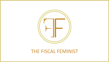

## THE FISCAL FEMINIST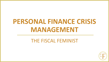# **PERSONAL FINANCE CRISIS MANAGEMENT**

## THE FISCAL FEMINIST

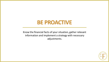## **BE PROACTIVE**

Know the financial facts of your situation, gather relevant information and implement a strategy with necessary adjustments.

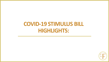## **COVID-19 STIMULUS BILL HIGHLIGHTS:**

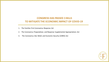## **CONGRESS HAS PASSED 3 BILLS TO MITIGATE THE ECONOMIC IMPACT OF COVID-19**

- 1. The Families First Coronavirus Response Act
- 2. The Coronavirus Preparedness and Response Supplemental Appropriations Act
- 3. The Coronavirus Aid, Relief, and Economic Security (CARES) Act

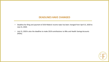## **DEADLINES HAVE CHANGED**

- Deadline for filing and payment of 2019 federal income taxes has been changed from April 15, 2020 to July 15, 2020.
- July 15, 2020 is also the deadline to make 2019 contributions to IRAs and Health Savings Accounts (HSAs).

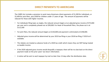## **DIRECT PAYMENTS TO AMERICANS**

The CARES Act includes a provision to send many Americans direct payments of \$1,200 for individuals, or \$2,400 for joint filers, plus \$500 for children under 17 years of age. The amount of payments will be reduced for those with higher incomes.

- For individuals filing taxes as singles, the reduced amount begins at an adjusted gross income of \$75,000 per year and is completely phased out at \$99,000. For Head of Household filers, the phase out is at \$112,500
- For joint filers, the reduced amount begins at \$150,000 and payment is eliminated at \$198,000.
- Adjusted gross income will be determined by your 2019 tax filing or your 2018 tax filing, if 2019 isn't available.
- The rebates are treated as advance funds of a 2020 tax credit which means they are NOT being treated as taxable income.
- If the 2020 adjusted gross income would disqualify a taxpayer, there will be no claw back on the direct payment made on the prior years' tax return information.
- A notice will be sent to each taxpayer by mail no later than 15 days after the distribution date.

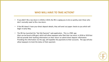## **WHO WILL HAVE TO TAKE ACTION?**

- If you didn't file a tax return in 2018 or 2019, the IRS is urging you to do so quickly, even those who don't normally need to file a tax return.
- If the IRS doesn't have your direct deposit details, they will send out paper checks to you which will begin in early May.
- The IRS has launched the "Get My Payment" web application. This is a FREE app (that can be found at IRS.gov) which will allow taxpayers who filed their tax return in 2018 or 2019 but did not provide their banking information on their return to submit direct deposit information. Providing this information via the app, will expedite the payments to their accounts. The app will also allow taxpayers to track the status of their payment.

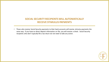## **SOCIAL SECURITY RECIPIENTS WILL AUTOMATICALLY RECEIVE STIMULUS PAYMENTS**

• Those who receive Social Security payments to their bank accounts will receive stimulus payments the same way. If you have no direct deposit information on file, you will receive a check. Social Security recipients who don't typically file a tax return do not need to take any action.

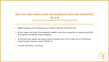## **PAID SICK AND FAMILY LEAVE FOR BUSINESSES WITH 500 EMPLOYEES OR LESS**

**(THIS MAY NOT INCLUDE BUSINESSES WITH 50 EMPLOYEES OR LESS):**

- Eligible employees must be allowed up to 2 weeks or 80 hours of paid sick time.
- At their regular rate of pay if the employee is unable to work due to quarantine or experiencing COVID-19 symptoms and seeking a medical diagnosis.
- At two-thirds their regular rate of pay to care for someone who is ill or to take care of a child whose school has been closed as a result of COVID-19.
- For more information, visit dol.gov

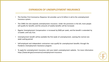## **EXPANSION OF UNEMPLOYMENT INSURANCE**

- The Families First Coronavirus Response Act provides up to \$1 billion in aid to the unemployment insurance system.
- The CARES Act also expands unemployment insurance. Under the provisions in the bill, more people will qualify for benefits and the amounts of weekly benefits will be increased.
- Regular Unemployment Compensation is increased by \$600 per week, and the benefit is extended by 13 weeks until July 31st.
- Unemployment benefit will be available the first week of unemployment, waiving the normal one week waiting period.
- Self-employed and independent contractors now qualify for unemployment benefits through the Pandemic Unemployment Assistance program.
- To apply for unemployment insurance, visit your state's unemployment website. For more information https://www.dol.gov/coronavirus/unemployment-insurance.

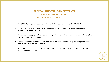## **FEDERAL STUDENT LOAN PAYMENTS HAVE INTEREST WAIVED**

**TO LEARN MORE VISIT STUDENTAID.GOV**

- The CARES Act suspends payments on federal student loans until September 30, 2010.
- The act makes emergency financial aid available to some students, up to the amount of the maximum Federal Pell Grant for the year.
- Federal work-study payments can be made to qualifying students who have been unable to complete their work under the program due to COVID-19.
- Students who are forced to withdraw from school due to the outbreak may have the portion of their loan covering that semester canceled.
- Requirements to return portions of grants or loan assistance will be waived for students who had to withdraw from school as well.

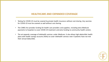## **HEALTHCARE AND EXPANDED COVERAGE**

- Testing for COVID-19 must be covered by private health insurance without cost sharing. Any vaccines for COVID-19 must be covered as well without cost sharing.
- The CARES Act provides funding for health care providers and suppliers, including extra Medicare payments to hospitals to cover COVID-19 treatment and extra funding to community health centers.
- The act expands coverage of telehealth services under Medicare. It also allows high-deductible health plans with health savings accounts (HSAs) to cover telehealth services even if patients have not met their annual deductible.

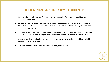## **RETIREMENT ACCOUNT RULES HAVE BEEN RELAXED**

- Required minimum distributions for 2020 have been suspended from IRAs, inherited IRAs and employer sponsored plans.
- Affected, eligible participants in workplace retirement plans and IRA owners can take an aggregate distribution in 2020 of up to \$100,000 from all retirement accounts without incurring the usual 10% early withdrawal penalty.
- The affected person (including a spouse or dependent) would need to either be diagnosed with SARS-COV-2 or COVID-19 or experiencing adverse financial consequences as a result of a defined event.
- Income tax on these distributions can be evenly spread over a 3-year period or repaid to an eligible retirement plan within 3 years.
- Loan repayment for affected participants may be delayed for one year.

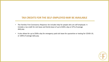## **TAX CREDITS FOR THE SELF-EMPLOYED MAY BE AVAILABLE**

- The Families First Coronavirus Response Act includes help for people who are self-employed. It includes a tax credit for sick leave and family leave of up to \$200 a day or 67% of average daily pay.
- It also allows for up to \$500 a day for emergency paid sick leave for quarantine or testing for COVID-19, or 100% of average daily pay.

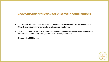## **ABOVE-THE-LINE DEDUCTION FOR CHARITABLE CONTRIBUTIONS**

- The CARES Act allows for a \$300 above-the-line deduction for cash charitable contributions made to 501(c)(3) organizations for taxpayers who take the standard deduction.
- The act also relaxes the limit on charitable contributions for itemizers—increasing the amount that can be deducted from 60% of adjusted gross income to 100% of gross income.
- Effective in the 2020 tax year.

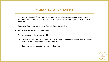- The CARES Act allocated \$350 billion to help small businesses keep workers employed amid the pandemic/economic downturn. The PPP initiative provides 100% federally guaranteed loans to small businesses.
- Coronavirus Emergency Loans [Small Business Guide and Checklist](https://www.uschamber.com/sites/default/files/023595_comm_corona_virus_smallbiz_loan_final.pdf)
- All loan terms will be the same for everyone.
- The loan amounts will be forgiven provided:
	- $-$  The loan proceeds are used to cover payroll costs, and most mortgage interest, rent, and utility costs over the 8-week period after the loan is made.
	- Employee and compensation levels are maintained.

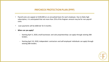- Payroll costs are capped at \$100,000 on an annualized basis for each employee. Due to likely high subscription, it is anticipated that not more than 25% of the forgiven amount may be for non-payroll costs.
- Loan payments will be deferred for 6 months.
- **When can you apply?**
	- $-$  Starting April 3, 2020, small businesses and sole proprietorships can apply through existing SBA lenders.
	- ⎼ Starting April 10, 2020, independent contractors and self-employed individuals can apply through existing SBA lenders.

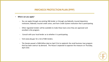- **Where can you apply?**
	- ⎼ You can apply through any existing SBA lender or through any federally insured depository institution, federally insured credit union, and Farm Credit System institution that is participating.
	- ⎼ Other regulated lenders will be available to make these loans once they are approved and enrolled in the program.
	- Consult with your local lender as to whether it is participating.
	- Visit www.sba.gov for a list of SBA lenders.
	- ⎼ The Senate passed a \$484 billion deal on April 21st to replenish the small business loan program that has been overrun by demand. The House is expected to approve the measure on Thursday, April 23rd.

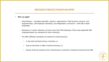- **Who can apply?**
	- $-$  All businesses including nonprofits, veterans' organizations, Tribal business concerns, sole proprietorships, self-employed individuals, and independent contractors – with 500 or fewer employees.
	- $-$  Businesses in certain industries can have more than 500 employees if they meet applicable SBA employee-based size standards for those industries.
	- ⎼ The SBA's affiliation standards are waived for small businesses:
		- in the hotel and food services industries; or
		- that are franchises in SBA's Franchise Directory; or
		- Receive financial assistance from small business investment companies licensed by the SBA.

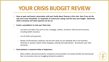## **YOUR CRISIS BUDGET REVIEW**

- **Have an open and honest conversation with your family about finances in this crisis. Even if you are the only one in your household, it is important to review your savings and fine tune your budget. Determine what is necessary and what expenses can be cut.**
- **Create a spreadsheet to track your fixed costs.**
	- Line item your fixed costs such as rent, mortgage, utilities, cell phone, food and all insurances, including health insurance.
	- List all credit card payments.
	- ⎼ Review all discretionary expenses and line item what you are spending that is non-essential. Eliminate or severely reduce online shopping, clothing and subscriptions. Re-evaluate your food purchases.
- **Seek assistance in payment delay or forgiveness.**
	- ⎼ Many utilities, telecommunications companies and automakers are easing shutoffs and waiving late fees to consumers who are struggling during the pandemic.

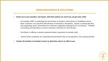- **Reach out to your providers and inquire what their policies are and if you can get some relief.** 
	- ⎼ For example, AT&T is suspending the termination of wireless, home phone or broadband service when customers can't pay their bills because of coronavirus disruptions. Verizon is waiving late fees and suspending service termination for customers negatively impacted by the coronavirus. T-Mobile is providing unlimited data to current customers with plans for next 60 days.
	- $-$  Ford Motor is offering customers potential delay in payments to provide relief.
	- Several utility companies are suspending disconnections due to non-payment, and, waiving late fees.
- **Contact all providers of essential services to determine what is on offer to you.**

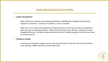## **CRISIS RESOURCES & SOLUTIONS**

- **Credit card payments.**
	- ⎼ Many credit card companies have released statements regarding their ongoing monitoring and response to customers. Contact your creditors as soon as possible.
	- $-$  Reach out to your credit card companies and ask what they can do for you as many are prepared to work with you on individual solutions. Many credit card issuers have off-menu solutions for those struggling financially. Ask direct questions about short-term hardship programs and be honest about your circumstances.
- **Emergency Savings.**
	- $-$  If you have an emergency savings account, this may be the time to dip into it but only for essential items like food, shelter and other essential fixed costs.

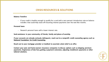### **Balance Transfers**

 $-$  If your credit is healthy enough to qualify for a card with a zero percent introductory rate on balance transfers that could help stave off mounting interest payments over the next few months.

### **Personal loans**

⎼ Research personal loans with a lower interest rate.

**Seek assistance in your community of friends, family and places of worship.**

**If your accounts are already seriously delinquent, reach out to a nonprofit credit counseling agency such as [National Foundation for Credit Counseling.](https://www.nfcc.org/)** 

**Reach out to your mortgage provider or landlord to ascertain what relief is on offer.**

**Contact your auto and home-owners insurance companies to discuss options such as skipping premium payments, forgiveness of late fees, getting a payment extension, adjusting installment payments or other tailored solutions.**

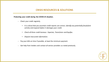## **CRISIS RESOURCES & SOLUTIONS**

**Protecting your credit during the COVID-19 situation.**

- ⎼ Check your credit regularly.
	- *It is critical that you ascertain credit reports are correct, identify any potentially fraudulent activity and respond before it damages your credit.*
	- *Check all three credit bureaus: Experian, TransUnion and Equifax.*
	- *Dispute inaccurate information.*
- Pay your bills on time if possible, at least the minimum payment.
- Get help from lenders and contact all service providers as noted previously.

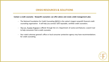**Contact a credit counselor. Nonprofit counselors can offer advice and create a debt management plan.** 

- The National Foundation for Credit Counseling [\(NFCC\)](https://www.nfcc.org/) is the nation's largest nonprofit financial credit counseling organization. It will help you connect with reputable, certified credit counselors.
- $-$  [The U.S. Trustee Program i](https://www.justice.gov/ust/list-credit-counseling-agencies-approved-pursuant-11-usc-111)s offered through the U.S. Department of Justice and features a search tool to help consumers find a credit counselor.
- ⎼ Your state's attorney general's office or local consumer protection agency may have recommendations for credit counseling.

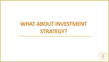# **WHAT ABOUT INVESTMENT STRATEGY?**

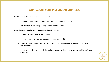## **WHAT ABOUT YOUR INVESTMENT STRATEGY?**

### **Don't let fear dictate your investment decisions!**

- $-$  It is human to feel fear of the unknown in an unprecedented situation.
- $-$  But, feeling fear and acting on fear, are very different things.

#### **Determine your liquidity needs for the next 6 to 12 months.**

- ⎼ Do you have an emergency fund in place?
- ⎼ Do you remain employed and receiving your pay and benefits?
- $-$  If you have no emergency fund, and no incoming cash flow, determine your cash flow needs for the next 6 months.
- $-$  If you have to raise cash through liquidating investments, then do so to ensure liquidity for the next 6 months.

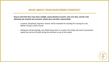### **WHAT ABOUT YOUR INVESTMENT STRATEGY?**

**Keep in mind that there have been multiple unprecedented economic crisis over time, and the crisis ultimately got resolved and economic activity grew and often exponentially.** 

- $-$  A patient, disciplined, long-term investor will be rewarded for standing firm during the crisis. Market timing is a fool's errand.
- $-$  Selling low and buying high, and, determining when to re-enter the market will result in permanent capital loss and loss of profit during the ultimate run-up of the market.

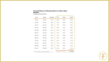#### Forward Returns Following History's Worst Bear **Markets**

Total Returns for the S&P 500

| Peak      | Trough                                     | Drawdown | 1 Year | 3 Years | 5 Years |
|-----------|--------------------------------------------|----------|--------|---------|---------|
| 1929, SEP | 1932, JUN                                  | $-86.2%$ | 162.9% | 170.5%  | 344.8%  |
| 1932, SEP | 1933, FEB                                  | $-40.6%$ | 98.7%  | 194.6%  | 154.6%  |
| 1933, JUL | 1933, OCT                                  | $-29.8%$ | 2.9%   | 120.1%  | 87.3%   |
| 1934, FEB | 1935, MAR                                  | $-31.8%$ | 83.8%  | 16.3%   | 84.9%   |
| 1937, MAR | 1938, MAR                                  | $-54.5%$ | 35.2%  | 38.2%   | 84.5%   |
| 1939, OCT | 1940, JUN                                  | $-31.9%$ | 8.0%   | 59.7%   | 118.8%  |
| 1940, NOV | 1942, APR                                  | $-34.5%$ | 61.2%  | 128.6%  | 144.9%  |
| 1968, NOV | 1970, MAY                                  | $-36.1%$ | 34.8%  | 50.6%   | 42.2%   |
| 1973, JAN | 1974, OCT                                  | $-48.2%$ | 38.1%  | 72.7%   | 117.5%  |
| 1987, AUG | 1987, DEC                                  | $-33.5%$ | 23.2%  | 55.5%   | 121.7%  |
| 2000, MAR | 2002, OCT                                  | $-49.1%$ | 24.4%  | 59.0%   | 105.1%  |
| 2007, OCT | 2009, MAR                                  | $-56.8%$ | 53.6%  | 98.0%   | 181.6%  |
|           | TABLE: BEN CARLSON · SOURCE: DFA/BLOOMBERG |          |        |         | FORTUNE |

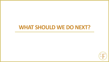## **WHAT SHOULD WE DO NEXT?**

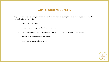## **WHAT SHOULD WE DO NEXT?**

**Step back and reassess how your financial situation has held up during this time of unexpected crisis. Ask yourself, prior to the crisis:**

- Did you have a budget?
- Did you have an emergency fund, and if not, why?
- Did you have burgeoning, lingering credit card debt, that is now causing further stress?
- $-$  Have you been living beyond your means?
- Did you have a savings plan in place?

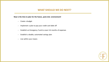## **WHAT SHOULD WE DO NEXT?**

**Now is the time to plan for the future, post-crisis environment!**

- ⎼ Create a budget
- Implement a plan to pay your credit card debt off
- ⎼ Establish an Emergency Fund to cover 4-6 months of expenses
- ⎼ Establish a doable, automated savings plan
- Live within your means

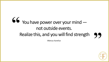## You have power over your mind not outside events. Realize this, and you will find strength **" "**

*-Marcus Aurelius*

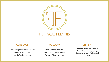

## THE FISCAL FEMINIST

## CONTACT FOLLOW LISTEN

**Email:** kim@thefiscalfeminist.com **Phone:** 949.877.5004 **Blog:** thefiscalfeminist.com

**Insta:** @thefiscalfeminist **Facebook:** @thefiscalfeminist **Twitter:** @fiscal\_feminist

**Podcast:** The Fiscal Feminist Available on: Spotify, Google Podcasts, & Apple Podcast and Zencast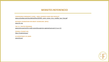## **WEBSITES REFERENCED**

#### **CORONAVIRUS EMERGENCY LOANS – SMALL BUSINESS GUIDE AND CHECKLIST** [www.uschamber.com/sites/default/files/023595\\_comm\\_corona\\_virus\\_smallbiz\\_loan\\_final.pdf](http://www.uschamber.com/sites/default/files/023595_comm_corona_virus_smallbiz_loan_final.pdf)

**NATIONAL FOUNDATION FOR CREDIT COUNSELING (NFCC)**  [www.nfcc.org](https://www.nfcc.org/)

**THE U.S. TRUSTEE PROGRAM:** [www.justice.gov/ust/list-credit-counseling-agencies-approved-pursuant-11-usc-111](https://www.justice.gov/ust/list-credit-counseling-agencies-approved-pursuant-11-usc-111)

**FEDERAL STUDENT AID:** <https://studentaid.gov/>

**US DEPARTMENT OF LABOR** [www.dol.gov/](https://www.dol.gov/)